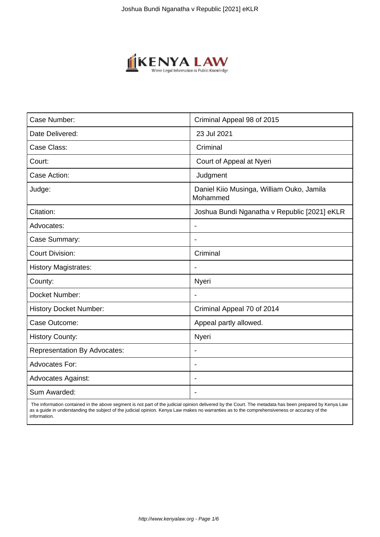

| Case Number:                        | Criminal Appeal 98 of 2015                            |
|-------------------------------------|-------------------------------------------------------|
| Date Delivered:                     | 23 Jul 2021                                           |
| Case Class:                         | Criminal                                              |
| Court:                              | Court of Appeal at Nyeri                              |
| Case Action:                        | Judgment                                              |
| Judge:                              | Daniel Kiio Musinga, William Ouko, Jamila<br>Mohammed |
| Citation:                           | Joshua Bundi Nganatha v Republic [2021] eKLR          |
| Advocates:                          |                                                       |
| Case Summary:                       |                                                       |
| <b>Court Division:</b>              | Criminal                                              |
| <b>History Magistrates:</b>         | $\overline{\phantom{a}}$                              |
| County:                             | Nyeri                                                 |
| Docket Number:                      |                                                       |
| <b>History Docket Number:</b>       | Criminal Appeal 70 of 2014                            |
| Case Outcome:                       | Appeal partly allowed.                                |
| <b>History County:</b>              | Nyeri                                                 |
| <b>Representation By Advocates:</b> | $\overline{\phantom{a}}$                              |
| <b>Advocates For:</b>               |                                                       |
| <b>Advocates Against:</b>           |                                                       |
| Sum Awarded:                        |                                                       |

 The information contained in the above segment is not part of the judicial opinion delivered by the Court. The metadata has been prepared by Kenya Law as a guide in understanding the subject of the judicial opinion. Kenya Law makes no warranties as to the comprehensiveness or accuracy of the information.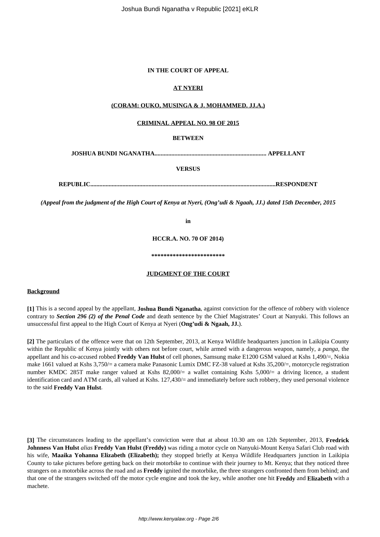## **IN THE COURT OF APPEAL**

# **AT NYERI**

## **(CORAM: OUKO, MUSINGA & J. MOHAMMED. JJ.A.)**

### **CRIMINAL APPEAL NO. 98 OF 2015**

# **BETWEEN**

**JOSHUA BUNDI NGANATHA......................................................................... APPELLANT**

### **VERSUS**

**REPUBLIC.........................................................................................................................RESPONDENT**

*(Appeal from the judgment of the High Court of Kenya at Nyeri, (Ong'udi & Ngaah, JJ.) dated 15th December, 2015*

**in**

**HCCR.A. NO. 70 OF 2014)**

**\*\*\*\*\*\*\*\*\*\*\*\*\*\*\*\*\*\*\*\*\*\*\*\***

#### **JUDGMENT OF THE COURT**

#### **Background**

**[1]** This is a second appeal by the appellant, **Joshua Bundi Nganatha**, against conviction for the offence of robbery with violence contrary to *Section 296 (2) of the Penal Code* and death sentence by the Chief Magistrates' Court at Nanyuki. This follows an unsuccessful first appeal to the High Court of Kenya at Nyeri (**Ong'udi & Ngaah, JJ.**).

**[2]** The particulars of the offence were that on 12th September, 2013, at Kenya Wildlife headquarters junction in Laikipia County within the Republic of Kenya jointly with others not before court, while armed with a dangerous weapon, namely, a *panga,* the appellant and his co-accused robbed **Freddy Van Hulst** of cell phones, Samsung make E1200 GSM valued at Kshs 1,490/=, Nokia make 1661 valued at Kshs 3,750/= a camera make Panasonic Lumix DMC FZ-38 valued at Kshs 35,200/=, motorcycle registration number KMDC 285T make ranger valued at Kshs 82,000/= a wallet containing Kshs 5,000/= a driving licence, a student identification card and ATM cards, all valued at Kshs. 127,430/= and immediately before such robbery, they used personal violence to the said **Freddy Van Hulst**.

**[3]** The circumstances leading to the appellant's conviction were that at about 10.30 am on 12th September, 2013, **Fredrick Johnness Van Hulst** *alias* **Freddy Van Hulst (Freddy)** was riding a motor cycle on Nanyuki-Mount Kenya Safari Club road with his wife, **Maaika Yohanna Elizabeth (Elizabeth);** they stopped briefly at Kenya Wildlife Headquarters junction in Laikipia County to take pictures before getting back on their motorbike to continue with their journey to Mt. Kenya; that they noticed three strangers on a motorbike across the road and as **Freddy** ignited the motorbike, the three strangers confronted them from behind; and that one of the strangers switched off the motor cycle engine and took the key, while another one hit **Freddy** and **Elizabeth** with a machete.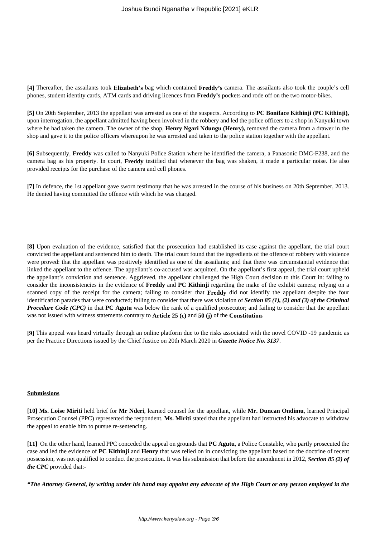**[4]** Thereafter, the assailants took **Elizabeth's** bag which contained **Freddy's** camera. The assailants also took the couple's cell phones, student identity cards, ATM cards and driving licences from **Freddy's** pockets and rode off on the two motor-bikes.

**[5]** On 20th September, 2013 the appellant was arrested as one of the suspects. According to **PC Boniface Kithinji (PC Kithinji),** upon interrogation, the appellant admitted having been involved in the robbery and led the police officers to a shop in Nanyuki town where he had taken the camera. The owner of the shop, **Henry Ngari Ndungu (Henry),** removed the camera from a drawer in the shop and gave it to the police officers whereupon he was arrested and taken to the police station together with the appellant.

**[6]** Subsequently, **Freddy** was called to Nanyuki Police Station where he identified the camera, a Panasonic DMC-F238, and the camera bag as his property. In court, **Freddy** testified that whenever the bag was shaken, it made a particular noise. He also provided receipts for the purchase of the camera and cell phones.

**[7]** In defence, the 1st appellant gave sworn testimony that he was arrested in the course of his business on 20th September, 2013. He denied having committed the offence with which he was charged.

**[8]** Upon evaluation of the evidence, satisfied that the prosecution had established its case against the appellant, the trial court convicted the appellant and sentenced him to death. The trial court found that the ingredients of the offence of robbery with violence were proved: that the appellant was positively identified as one of the assailants; and that there was circumstantial evidence that linked the appellant to the offence. The appellant's co-accused was acquitted. On the appellant's first appeal, the trial court upheld the appellant's conviction and sentence. Aggrieved, the appellant challenged the High Court decision to this Court in: failing to consider the inconsistencies in the evidence of **Freddy** and **PC Kithinji** regarding the make of the exhibit camera; relying on a scanned copy of the receipt for the camera; failing to consider that **Freddy** did not identify the appellant despite the four identification parades that were conducted; failing to consider that there was violation of *Section 85 (1), (2) and (3) of the Criminal Procedure Code (CPC)* in that PC Agutu was below the rank of a qualified prosecutor; and failing to consider that the appellant was not issued with witness statements contrary to **Article 25 (c)** and **50 (j)** of the **Constitution**.

**[9]** This appeal was heard virtually through an online platform due to the risks associated with the novel COVID -19 pandemic as per the Practice Directions issued by the Chief Justice on 20th March 2020 in *Gazette Notice No. 3137*.

#### **Submissions**

**[10] Ms. Loise Miriti** held brief for **Mr Nderi**, learned counsel for the appellant, while **Mr. Duncan Ondimu**, learned Principal Prosecution Counsel (PPC) represented the respondent. **Ms. Miriti** stated that the appellant had instructed his advocate to withdraw the appeal to enable him to pursue re-sentencing.

**[11]** On the other hand, learned PPC conceded the appeal on grounds that **PC Agutu**, a Police Constable, who partly prosecuted the case and led the evidence of **PC Kithinji** and **Henry** that was relied on in convicting the appellant based on the doctrine of recent possession, was not qualified to conduct the prosecution. It was his submission that before the amendment in 2012, *Section 85 (2) of the CPC* provided that:-

*"The Attorney General, by writing under his hand may appoint any advocate of the High Court or any person employed in the*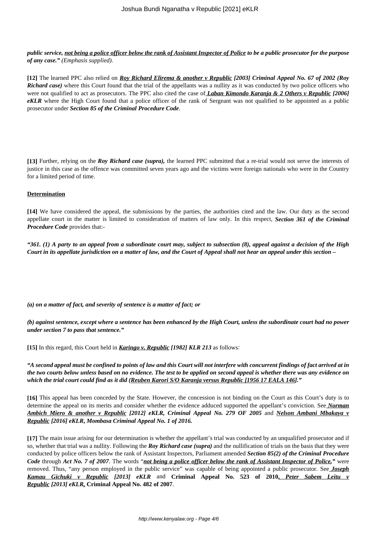*public service, not being a police officer below the rank of Assistant Inspector of Police to be a public prosecutor for the purpose of any case." (Emphasis supplied).*

**[12]** The learned PPC also relied on *Roy Richard Elirema & another v Republic [2003] Criminal Appeal No. 67 of 2002 (Roy Richard case*) where this Court found that the trial of the appellants was a nullity as it was conducted by two police officers who were not qualified to act as prosecutors. The PPC also cited the case of *Laban Kimondo Karanja & 2 Others v Republic [2006] eKLR* where the High Court found that a police officer of the rank of Sergeant was not qualified to be appointed as a public prosecutor under *Section 85 of the Criminal Procedure Code*.

**[13]** Further, relying on the *Roy Richard case (supra),* the learned PPC submitted that a re-trial would not serve the interests of justice in this case as the offence was committed seven years ago and the victims were foreign nationals who were in the Country for a limited period of time.

## **Determination**

**[14]** We have considered the appeal, the submissions by the parties, the authorities cited and the law. Our duty as the second appellate court in the matter is limited to consideration of matters of law only. In this respect, *Section 361 of the Criminal Procedure Code* provides that:-

*"361. (1) A party to an appeal from a subordinate court may, subject to subsection (8), appeal against a decision of the High Court in its appellate jurisdiction on a matter of law, and the Court of Appeal shall not hear an appeal under this section –*

*(a) on a matter of fact, and severity of sentence is a matter of fact; or*

*(b) against sentence, except where a sentence has been enhanced by the High Court, unless the subordinate court had no power under section 7 to pass that sentence."*

**[15]** In this regard, this Court held in *Karingo v. Republic [1982] KLR 213* as follows*:*

*"A second appeal must be confined to points of law and this Court will not interfere with concurrent findings of fact arrived at in the two courts below unless based on no evidence. The test to be applied on second appeal is whether there was any evidence on which the trial court could find as it did (Reuben Karori S/O Karanja versus Republic [1956 17 EALA 146]."*

**[16]** This appeal has been conceded by the State. However, the concession is not binding on the Court as this Court's duty is to determine the appeal on its merits and consider whether the evidence adduced supported the appellant's conviction. See *Norman Ambich Miero & another v Republic [2012] eKLR, Criminal Appeal No. 279 OF 2005* and *Nelson Ambani Mbakaya v Republic [2016] eKLR***,** *Mombasa Criminal Appeal No. 1 of 2016.*

**[17]** The main issue arising for our determination is whether the appellant's trial was conducted by an unqualified prosecutor and if so, whether that trial was a nullity. Following the *Roy Richard case (supra)* and the nullification of trials on the basis that they were conducted by police officers below the rank of Assistant Inspectors, Parliament amended *Section 85(2) of the Criminal Procedure Code* through *Act No. 7 of 2007*. The words "*not being a police officer below the rank of Assistant Inspector of Police,"* were removed. Thus, "any person employed in the public service" was capable of being appointed a public prosecutor. See *Joseph Kamau Gichuki v Republic [2013] eKLR* and **Criminal Appeal No. 523 of 2010,** *Peter Sabem Leitu v Republic [2013] eKLR,* **Criminal Appeal No. 482 of 2007**.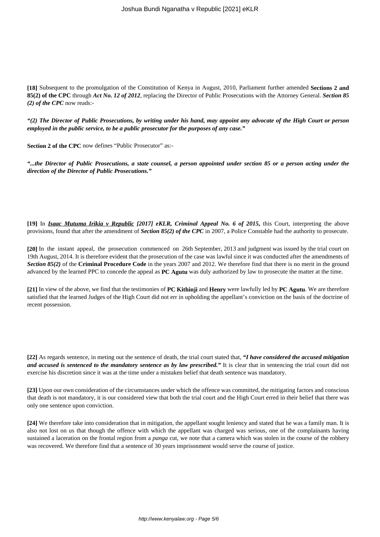**[18]** Subsequent to the promulgation of the Constitution of Kenya in August, 2010, Parliament further amended **Sections 2 and 85(2) of the CPC** through *Act No. 12 of 2012*, replacing the Director of Public Prosecutions with the Attorney General. *Section 85 (2) of the CPC* now reads:-

*"(2) The Director of Public Prosecutions, by writing under his hand, may appoint any advocate of the High Court or person employed in the public service, to be a public prosecutor for the purposes of any case."*

**Section 2 of the CPC** now defines "Public Prosecutor" as:-

*"...the Director of Public Prosecutions, a state counsel, a person appointed under section 85 or a person acting under the direction of the Director of Public Prosecutions."*

**[19]** In *Isaac Mutuma Irikia v Republic [2017] eKLR, Criminal Appeal No. 6 of 2015***,** this Court, interpreting the above provisions, found that after the amendment of *Section 85(2) of the CPC* in 2007, a Police Constable had the authority to prosecute.

**[20]** In the instant appeal, the prosecution commenced on 26th September, 2013 and judgment was issued by the trial court on 19th August, 2014. It is therefore evident that the prosecution of the case was lawful since it was conducted after the amendments of *Section 85(2)* of the **Criminal Procedure Code** in the years 2007 and 2012. We therefore find that there is no merit in the ground advanced by the learned PPC to concede the appeal as **PC Agutu** was duly authorized by law to prosecute the matter at the time.

**[21]** In view of the above, we find that the testimonies of **PC Kithinji** and **Henry** were lawfully led by **PC Agutu**. We are therefore satisfied that the learned Judges of the High Court did not err in upholding the appellant's conviction on the basis of the doctrine of recent possession.

**[22]** As regards sentence, in meting out the sentence of death, the trial court stated that, *"I have considered the accused mitigation and accused is sentenced to the mandatory sentence as by law prescribed.*" It is clear that in sentencing the trial court did not exercise his discretion since it was at the time under a mistaken belief that death sentence was mandatory.

**[23]** Upon our own consideration of the circumstances under which the offence was committed, the mitigating factors and conscious that death is not mandatory, it is our considered view that both the trial court and the High Court erred in their belief that there was only one sentence upon conviction.

**[24]** We therefore take into consideration that in mitigation, the appellant sought leniency and stated that he was a family man. It is also not lost on us that though the offence with which the appellant was charged was serious, one of the complainants having sustained a laceration on the frontal region from a *panga* cut, we note that a camera which was stolen in the course of the robbery was recovered. We therefore find that a sentence of 30 years imprisonment would serve the course of justice.